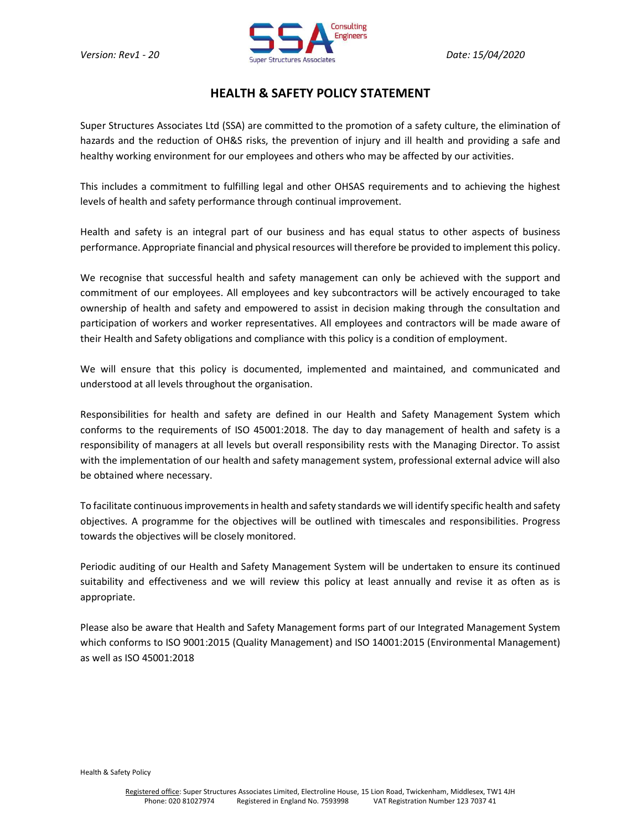

## HEALTH & SAFETY POLICY STATEMENT

Super Structures Associates Ltd (SSA) are committed to the promotion of a safety culture, the elimination of hazards and the reduction of OH&S risks, the prevention of injury and ill health and providing a safe and healthy working environment for our employees and others who may be affected by our activities.

This includes a commitment to fulfilling legal and other OHSAS requirements and to achieving the highest levels of health and safety performance through continual improvement.

Health and safety is an integral part of our business and has equal status to other aspects of business performance. Appropriate financial and physical resources will therefore be provided to implement this policy.

We recognise that successful health and safety management can only be achieved with the support and commitment of our employees. All employees and key subcontractors will be actively encouraged to take ownership of health and safety and empowered to assist in decision making through the consultation and participation of workers and worker representatives. All employees and contractors will be made aware of their Health and Safety obligations and compliance with this policy is a condition of employment.

We will ensure that this policy is documented, implemented and maintained, and communicated and understood at all levels throughout the organisation.

Responsibilities for health and safety are defined in our Health and Safety Management System which conforms to the requirements of ISO 45001:2018. The day to day management of health and safety is a responsibility of managers at all levels but overall responsibility rests with the Managing Director. To assist with the implementation of our health and safety management system, professional external advice will also be obtained where necessary.

To facilitate continuous improvements in health and safety standards we will identify specific health and safety objectives. A programme for the objectives will be outlined with timescales and responsibilities. Progress towards the objectives will be closely monitored.

Periodic auditing of our Health and Safety Management System will be undertaken to ensure its continued suitability and effectiveness and we will review this policy at least annually and revise it as often as is appropriate.

Please also be aware that Health and Safety Management forms part of our Integrated Management System which conforms to ISO 9001:2015 (Quality Management) and ISO 14001:2015 (Environmental Management) as well as ISO 45001:2018

Health & Safety Policy